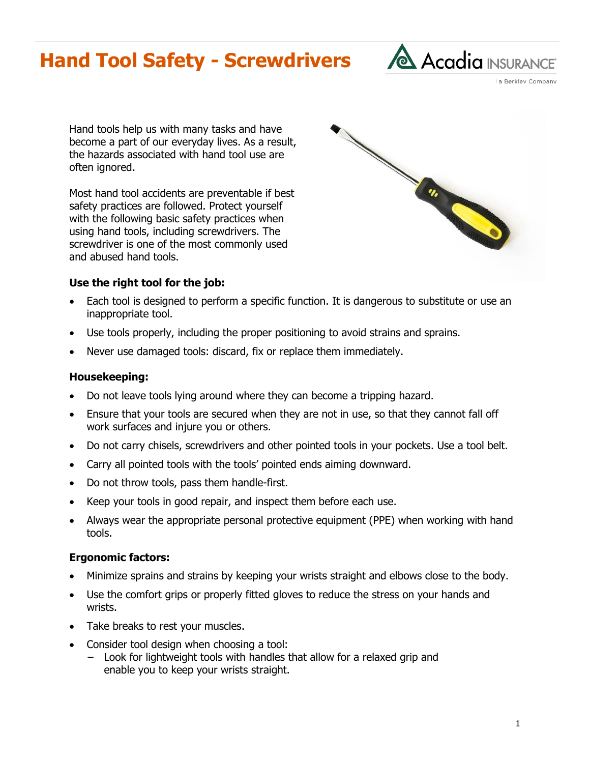# **Hand Tool Safety - Screwdrivers**



La Berkley Company

Hand tools help us with many tasks and have become a part of our everyday lives. As a result, the hazards associated with hand tool use are often ignored.

Most hand tool accidents are preventable if best safety practices are followed. Protect yourself with the following basic safety practices when using hand tools, including screwdrivers. The screwdriver is one of the most commonly used and abused hand tools.



### **Use the right tool for the job:**

- Each tool is designed to perform a specific function. It is dangerous to substitute or use an inappropriate tool.
- Use tools properly, including the proper positioning to avoid strains and sprains.
- Never use damaged tools: discard, fix or replace them immediately.

### **Housekeeping:**

- Do not leave tools lying around where they can become a tripping hazard.
- Ensure that your tools are secured when they are not in use, so that they cannot fall off work surfaces and injure you or others.
- Do not carry chisels, screwdrivers and other pointed tools in your pockets. Use a tool belt.
- Carry all pointed tools with the tools' pointed ends aiming downward.
- Do not throw tools, pass them handle-first.
- Keep your tools in good repair, and inspect them before each use.
- Always wear the appropriate personal protective equipment (PPE) when working with hand tools.

## **Ergonomic factors:**

- Minimize sprains and strains by keeping your wrists straight and elbows close to the body.
- Use the comfort grips or properly fitted gloves to reduce the stress on your hands and wrists.
- Take breaks to rest your muscles.
- Consider tool design when choosing a tool:
	- Look for lightweight tools with handles that allow for a relaxed grip and enable you to keep your wrists straight.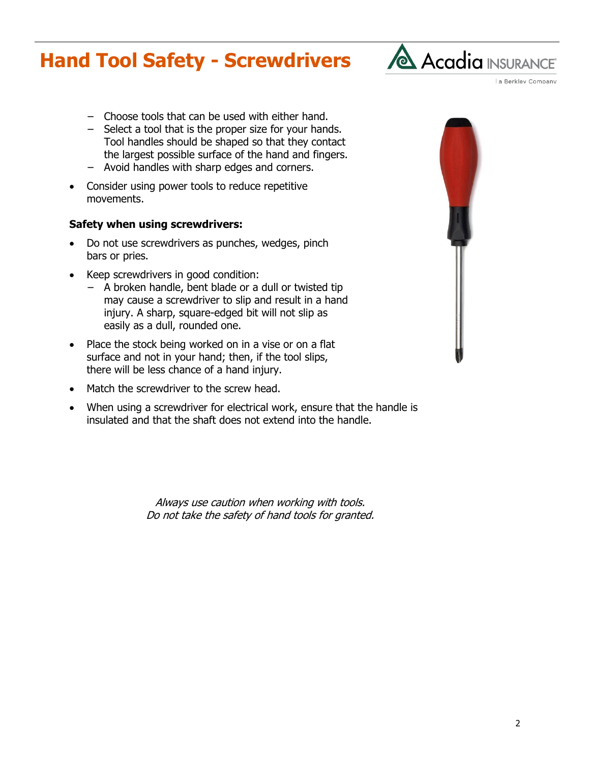# **Hand Tool Safety - Screwdrivers**



a Berkley Company

- − Choose tools that can be used with either hand.
- − Select a tool that is the proper size for your hands. Tool handles should be shaped so that they contact the largest possible surface of the hand and fingers.
- − Avoid handles with sharp edges and corners.
- Consider using power tools to reduce repetitive movements.

### **Safety when using screwdrivers:**

- Do not use screwdrivers as punches, wedges, pinch bars or pries.
- Keep screwdrivers in good condition:
	- − A broken handle, bent blade or a dull or twisted tip may cause a screwdriver to slip and result in a hand injury. A sharp, square-edged bit will not slip as easily as a dull, rounded one.
- Place the stock being worked on in a vise or on a flat surface and not in your hand; then, if the tool slips, there will be less chance of a hand injury.
- Match the screwdriver to the screw head.
- When using a screwdriver for electrical work, ensure that the handle is insulated and that the shaft does not extend into the handle.

Always use caution when working with tools. Do not take the safety of hand tools for granted.